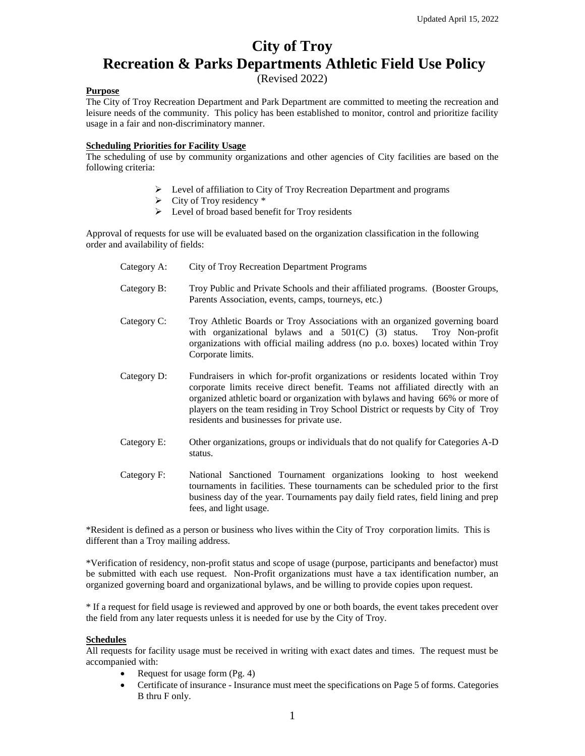## **City of Troy Recreation & Parks Departments Athletic Field Use Policy**

(Revised 2022)

#### **Purpose**

The City of Troy Recreation Department and Park Department are committed to meeting the recreation and leisure needs of the community. This policy has been established to monitor, control and prioritize facility usage in a fair and non-discriminatory manner.

#### **Scheduling Priorities for Facility Usage**

The scheduling of use by community organizations and other agencies of City facilities are based on the following criteria:

- ➢ Level of affiliation to City of Troy Recreation Department and programs
- $\triangleright$  City of Troy residency  $*$
- $\triangleright$  Level of broad based benefit for Troy residents

Approval of requests for use will be evaluated based on the organization classification in the following order and availability of fields:

- Category A: City of Troy Recreation Department Programs Category B: Troy Public and Private Schools and their affiliated programs. (Booster Groups, Parents Association, events, camps, tourneys, etc.) Category C: Troy Athletic Boards or Troy Associations with an organized governing board with organizational bylaws and a  $501(C)$  (3) status. Troy Non-profit organizations with official mailing address (no p.o. boxes) located within Troy Corporate limits. Category D: Fundraisers in which for-profit organizations or residents located within Troy corporate limits receive direct benefit. Teams not affiliated directly with an organized athletic board or organization with bylaws and having 66% or more of players on the team residing in Troy School District or requests by City of Troy residents and businesses for private use. Category E: Other organizations, groups or individuals that do not qualify for Categories A-D
- Category F: National Sanctioned Tournament organizations looking to host weekend tournaments in facilities. These tournaments can be scheduled prior to the first business day of the year. Tournaments pay daily field rates, field lining and prep fees, and light usage.

\*Resident is defined as a person or business who lives within the City of Troy corporation limits. This is different than a Troy mailing address.

\*Verification of residency, non-profit status and scope of usage (purpose, participants and benefactor) must be submitted with each use request. Non-Profit organizations must have a tax identification number, an organized governing board and organizational bylaws, and be willing to provide copies upon request.

\* If a request for field usage is reviewed and approved by one or both boards, the event takes precedent over the field from any later requests unless it is needed for use by the City of Troy.

#### **Schedules**

All requests for facility usage must be received in writing with exact dates and times. The request must be accompanied with:

• Request for usage form (Pg. 4)

status.

• Certificate of insurance - Insurance must meet the specifications on Page 5 of forms. Categories B thru F only.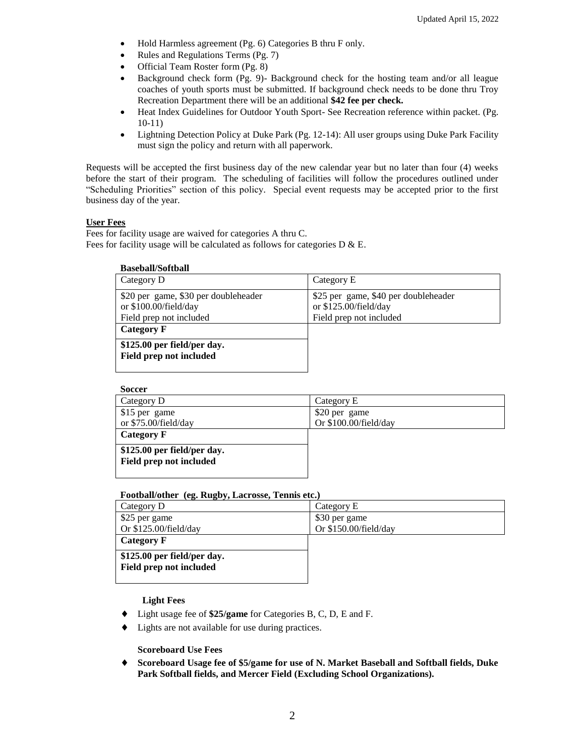- Hold Harmless agreement (Pg. 6) Categories B thru F only.
- Rules and Regulations Terms (Pg. 7)
- Official Team Roster form (Pg. 8)
- Background check form (Pg. 9)-Background check for the hosting team and/or all league coaches of youth sports must be submitted. If background check needs to be done thru Troy Recreation Department there will be an additional **\$42 fee per check.**
- Heat Index Guidelines for Outdoor Youth Sport- See Recreation reference within packet. (Pg. 10-11)
- Lightning Detection Policy at Duke Park (Pg. 12-14): All user groups using Duke Park Facility must sign the policy and return with all paperwork.

Requests will be accepted the first business day of the new calendar year but no later than four (4) weeks before the start of their program. The scheduling of facilities will follow the procedures outlined under "Scheduling Priorities" section of this policy. Special event requests may be accepted prior to the first business day of the year.

#### **User Fees**

Fees for facility usage are waived for categories A thru C. Fees for facility usage will be calculated as follows for categories  $D \& E$ .

| <b>Baseball/Softball</b>                                                                 |                                                                                          |
|------------------------------------------------------------------------------------------|------------------------------------------------------------------------------------------|
| Category D                                                                               | Category E                                                                               |
| \$20 per game, \$30 per doubleheader<br>or \$100.00/field/day<br>Field prep not included | \$25 per game, \$40 per doubleheader<br>or \$125.00/field/day<br>Field prep not included |
| Category F                                                                               |                                                                                          |
| \$125.00 per field/per day.<br>Field prep not included                                   |                                                                                          |

| <b>Soccer</b>               |                       |
|-----------------------------|-----------------------|
| Category D                  | Category E            |
| \$15 per game               | \$20 per game         |
| or \$75.00/field/day        | Or \$100.00/field/day |
| Category F                  |                       |
| \$125.00 per field/per day. |                       |
| Field prep not included     |                       |
|                             |                       |

#### **Football/other (eg. Rugby, Lacrosse, Tennis etc.)**

| Category D                  | Category E            |
|-----------------------------|-----------------------|
| \$25 per game               | \$30 per game         |
| Or \$125.00/field/day       | Or \$150.00/field/day |
| Category F                  |                       |
| \$125.00 per field/per day. |                       |
| Field prep not included     |                       |
|                             |                       |

#### **Light Fees**

- Light usage fee of **\$25/game** for Categories B, C, D, E and F.
- Lights are not available for use during practices.

#### **Scoreboard Use Fees**

 **Scoreboard Usage fee of \$5/game for use of N. Market Baseball and Softball fields, Duke Park Softball fields, and Mercer Field (Excluding School Organizations).**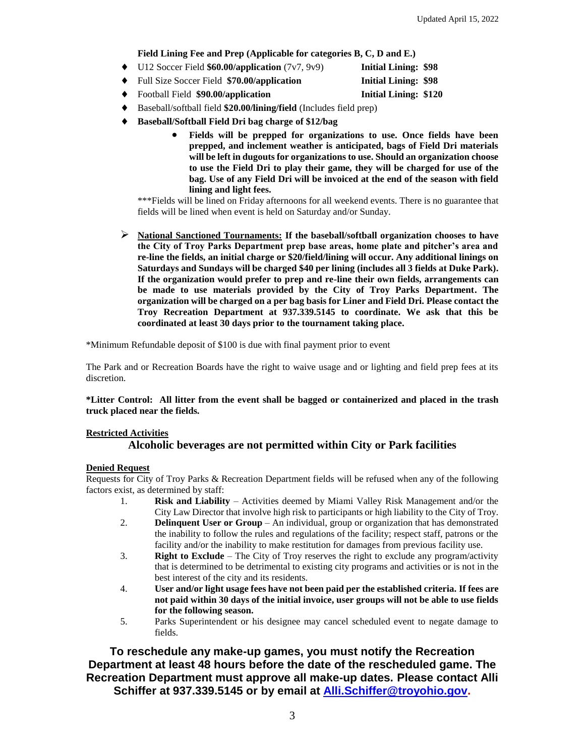#### **Field Lining Fee and Prep (Applicable for categories B, C, D and E.)**

|           | $\bullet$ U12 Soccer Field \$60.00/application (7v7, 9v9) | <b>Initial Lining: \$98</b>  |  |
|-----------|-----------------------------------------------------------|------------------------------|--|
|           | • Full Size Soccer Field \$70.00/application              | <b>Initial Lining: \$98</b>  |  |
| $\bullet$ | Football Field \$90.00/application                        | <b>Initial Lining: \$120</b> |  |

- Baseball/softball field **\$20.00/lining/field** (Includes field prep)
- **Baseball/Softball Field Dri bag charge of \$12/bag** 
	- **Fields will be prepped for organizations to use. Once fields have been prepped, and inclement weather is anticipated, bags of Field Dri materials will be left in dugouts for organizations to use. Should an organization choose to use the Field Dri to play their game, they will be charged for use of the bag. Use of any Field Dri will be invoiced at the end of the season with field lining and light fees.**

\*\*\*Fields will be lined on Friday afternoons for all weekend events. There is no guarantee that fields will be lined when event is held on Saturday and/or Sunday.

➢ **National Sanctioned Tournaments: If the baseball/softball organization chooses to have the City of Troy Parks Department prep base areas, home plate and pitcher's area and re-line the fields, an initial charge or \$20/field/lining will occur. Any additional linings on Saturdays and Sundays will be charged \$40 per lining (includes all 3 fields at Duke Park). If the organization would prefer to prep and re-line their own fields, arrangements can be made to use materials provided by the City of Troy Parks Department. The organization will be charged on a per bag basis for Liner and Field Dri. Please contact the Troy Recreation Department at 937.339.5145 to coordinate. We ask that this be coordinated at least 30 days prior to the tournament taking place.** 

\*Minimum Refundable deposit of \$100 is due with final payment prior to event

The Park and or Recreation Boards have the right to waive usage and or lighting and field prep fees at its discretion.

**\*Litter Control: All litter from the event shall be bagged or containerized and placed in the trash truck placed near the fields.**

#### **Restricted Activities**

#### **Alcoholic beverages are not permitted within City or Park facilities**

#### **Denied Request**

Requests for City of Troy Parks & Recreation Department fields will be refused when any of the following factors exist, as determined by staff:

- 1. **Risk and Liability** Activities deemed by Miami Valley Risk Management and/or the City Law Director that involve high risk to participants or high liability to the City of Troy.
- 2. **Delinquent User or Group** An individual, group or organization that has demonstrated the inability to follow the rules and regulations of the facility; respect staff, patrons or the facility and/or the inability to make restitution for damages from previous facility use.
- 3. **Right to Exclude**  The City of Troy reserves the right to exclude any program/activity that is determined to be detrimental to existing city programs and activities or is not in the best interest of the city and its residents.
- 4. **User and/or light usage fees have not been paid per the established criteria. If fees are not paid within 30 days of the initial invoice, user groups will not be able to use fields for the following season.**
- 5. Parks Superintendent or his designee may cancel scheduled event to negate damage to fields.

**To reschedule any make-up games, you must notify the Recreation Department at least 48 hours before the date of the rescheduled game. The Recreation Department must approve all make-up dates. Please contact Alli Schiffer at 937.339.5145 or by email at [Alli.Schiffer@troyohio.gov.](mailto:Alli.Schiffer@troyohio.gov)**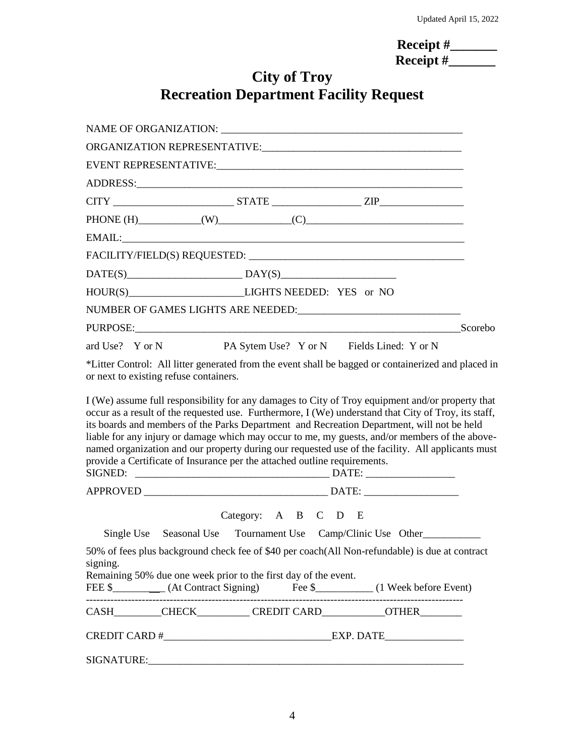| Receipt $#$      |  |
|------------------|--|
| <b>Receipt</b> # |  |

# **City of Troy Recreation Department Facility Request**

| $DATE(S)$ $DAY(S)$ $DAY(S)$ $DAY(S)$ $DAY(S)$ $DAY(S)$ $DAY(S)$ $DAY(S)$ $DAY(S)$ $DAY(S)$ $DAY(S)$ $DAY(S)$ $DAY(S)$ $DAY(S)$ $DAY(S)$ $DAY(S)$ $DAY(S)$ $DAY(S)$ $DAY(S)$ $DAY(S)$ $DAY(S)$ $DAY(S)$ $DAY(S)$ $DAY(S)$ $DAY(S)$ $DAY(S)$ $DAY(S)$ $DAY(S)$ $DAY(S)$ $DAY(S)$ $DAY(S)$ $DAY(S$                                                                                                                                                                                                                                                                                                       |                                                                                                                                               |                                           |  |  |
|-------------------------------------------------------------------------------------------------------------------------------------------------------------------------------------------------------------------------------------------------------------------------------------------------------------------------------------------------------------------------------------------------------------------------------------------------------------------------------------------------------------------------------------------------------------------------------------------------------|-----------------------------------------------------------------------------------------------------------------------------------------------|-------------------------------------------|--|--|
|                                                                                                                                                                                                                                                                                                                                                                                                                                                                                                                                                                                                       |                                                                                                                                               |                                           |  |  |
|                                                                                                                                                                                                                                                                                                                                                                                                                                                                                                                                                                                                       |                                                                                                                                               |                                           |  |  |
| PURPOSE: Scorebo                                                                                                                                                                                                                                                                                                                                                                                                                                                                                                                                                                                      |                                                                                                                                               |                                           |  |  |
| ard Use? Y or N                                                                                                                                                                                                                                                                                                                                                                                                                                                                                                                                                                                       |                                                                                                                                               | PA Sytem Use? Y or N Fields Lined: Y or N |  |  |
|                                                                                                                                                                                                                                                                                                                                                                                                                                                                                                                                                                                                       | *Litter Control: All litter generated from the event shall be bagged or containerized and placed in<br>or next to existing refuse containers. |                                           |  |  |
| I (We) assume full responsibility for any damages to City of Troy equipment and/or property that<br>occur as a result of the requested use. Furthermore, I (We) understand that City of Troy, its staff,<br>its boards and members of the Parks Department and Recreation Department, will not be held<br>liable for any injury or damage which may occur to me, my guests, and/or members of the above-<br>named organization and our property during our requested use of the facility. All applicants must<br>provide a Certificate of Insurance per the attached outline requirements.<br>SIGNED: |                                                                                                                                               |                                           |  |  |
|                                                                                                                                                                                                                                                                                                                                                                                                                                                                                                                                                                                                       |                                                                                                                                               |                                           |  |  |
|                                                                                                                                                                                                                                                                                                                                                                                                                                                                                                                                                                                                       |                                                                                                                                               | Category: A B C D E                       |  |  |
|                                                                                                                                                                                                                                                                                                                                                                                                                                                                                                                                                                                                       | Single Use Seasonal Use Tournament Use Camp/Clinic Use Other                                                                                  |                                           |  |  |
| 50% of fees plus background check fee of \$40 per coach(All Non-refundable) is due at contract<br>signing.<br>Remaining 50% due one week prior to the first day of the event.<br>FEE \$____________ (At Contract Signing) Fee \$____________ (1 Week before Event)                                                                                                                                                                                                                                                                                                                                    |                                                                                                                                               |                                           |  |  |
| CASH________CHECK_________CREDIT CARD___________OTHER________                                                                                                                                                                                                                                                                                                                                                                                                                                                                                                                                         |                                                                                                                                               |                                           |  |  |
|                                                                                                                                                                                                                                                                                                                                                                                                                                                                                                                                                                                                       |                                                                                                                                               |                                           |  |  |
|                                                                                                                                                                                                                                                                                                                                                                                                                                                                                                                                                                                                       |                                                                                                                                               |                                           |  |  |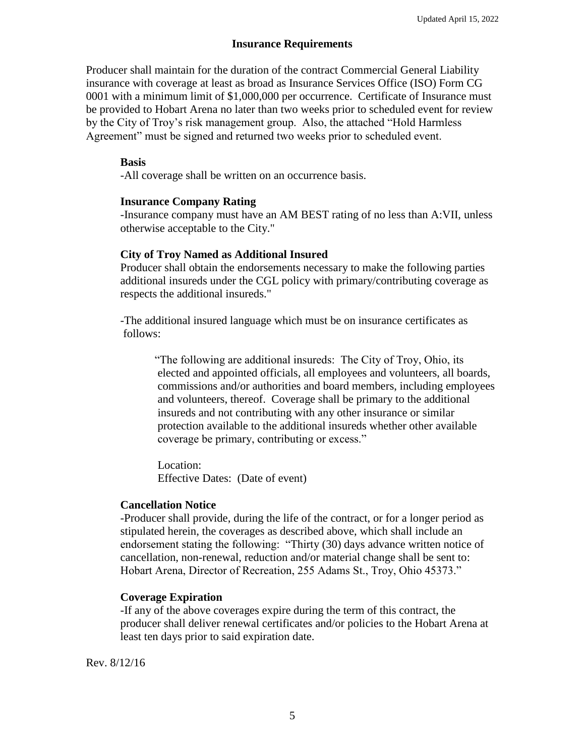#### **Insurance Requirements**

Producer shall maintain for the duration of the contract Commercial General Liability insurance with coverage at least as broad as Insurance Services Office (ISO) Form CG 0001 with a minimum limit of \$1,000,000 per occurrence. Certificate of Insurance must be provided to Hobart Arena no later than two weeks prior to scheduled event for review by the City of Troy's risk management group. Also, the attached "Hold Harmless Agreement" must be signed and returned two weeks prior to scheduled event.

#### **Basis**

-All coverage shall be written on an occurrence basis.

#### **Insurance Company Rating**

-Insurance company must have an AM BEST rating of no less than A:VII, unless otherwise acceptable to the City."

#### **City of Troy Named as Additional Insured**

Producer shall obtain the endorsements necessary to make the following parties additional insureds under the CGL policy with primary/contributing coverage as respects the additional insureds."

-The additional insured language which must be on insurance certificates as follows:

"The following are additional insureds: The City of Troy, Ohio, its elected and appointed officials, all employees and volunteers, all boards, commissions and/or authorities and board members, including employees and volunteers, thereof. Coverage shall be primary to the additional insureds and not contributing with any other insurance or similar protection available to the additional insureds whether other available coverage be primary, contributing or excess."

Location: Effective Dates: (Date of event)

#### **Cancellation Notice**

-Producer shall provide, during the life of the contract, or for a longer period as stipulated herein, the coverages as described above, which shall include an endorsement stating the following: "Thirty (30) days advance written notice of cancellation, non-renewal, reduction and/or material change shall be sent to: Hobart Arena, Director of Recreation, 255 Adams St., Troy, Ohio 45373."

#### **Coverage Expiration**

-If any of the above coverages expire during the term of this contract, the producer shall deliver renewal certificates and/or policies to the Hobart Arena at least ten days prior to said expiration date.

Rev. 8/12/16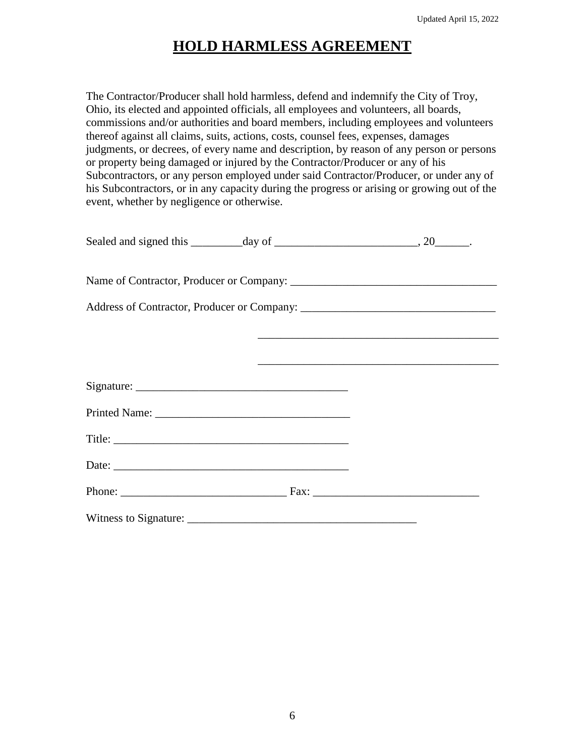# **HOLD HARMLESS AGREEMENT**

The Contractor/Producer shall hold harmless, defend and indemnify the City of Troy, Ohio, its elected and appointed officials, all employees and volunteers, all boards, commissions and/or authorities and board members, including employees and volunteers thereof against all claims, suits, actions, costs, counsel fees, expenses, damages judgments, or decrees, of every name and description, by reason of any person or persons or property being damaged or injured by the Contractor/Producer or any of his Subcontractors, or any person employed under said Contractor/Producer, or under any of his Subcontractors, or in any capacity during the progress or arising or growing out of the event, whether by negligence or otherwise.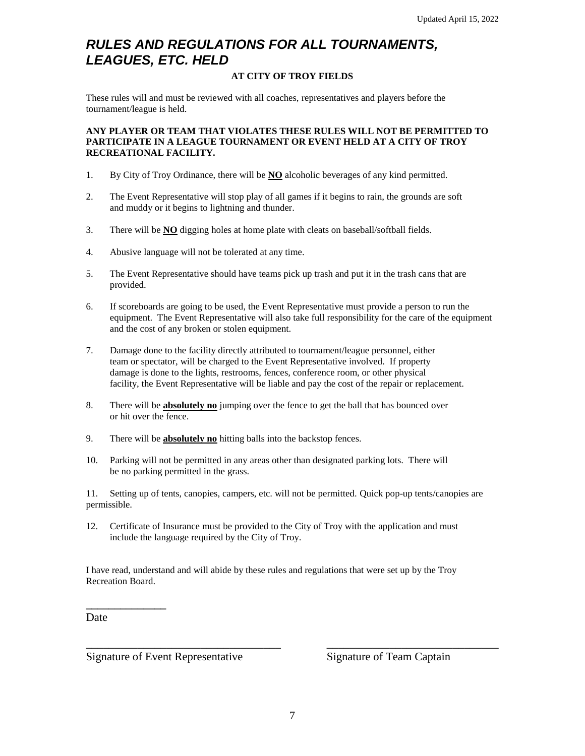### *RULES AND REGULATIONS FOR ALL TOURNAMENTS, LEAGUES, ETC. HELD*

#### **AT CITY OF TROY FIELDS**

These rules will and must be reviewed with all coaches, representatives and players before the tournament/league is held.

#### **ANY PLAYER OR TEAM THAT VIOLATES THESE RULES WILL NOT BE PERMITTED TO PARTICIPATE IN A LEAGUE TOURNAMENT OR EVENT HELD AT A CITY OF TROY RECREATIONAL FACILITY.**

- 1. By City of Troy Ordinance, there will be **NO** alcoholic beverages of any kind permitted.
- 2. The Event Representative will stop play of all games if it begins to rain, the grounds are soft and muddy or it begins to lightning and thunder.
- 3. There will be **NO** digging holes at home plate with cleats on baseball/softball fields.
- 4. Abusive language will not be tolerated at any time.
- 5. The Event Representative should have teams pick up trash and put it in the trash cans that are provided.
- 6. If scoreboards are going to be used, the Event Representative must provide a person to run the equipment. The Event Representative will also take full responsibility for the care of the equipment and the cost of any broken or stolen equipment.
- 7. Damage done to the facility directly attributed to tournament/league personnel, either team or spectator, will be charged to the Event Representative involved. If property damage is done to the lights, restrooms, fences, conference room, or other physical facility, the Event Representative will be liable and pay the cost of the repair or replacement.
- 8. There will be **absolutely no** jumping over the fence to get the ball that has bounced over or hit over the fence.
- 9. There will be **absolutely no** hitting balls into the backstop fences.
- 10. Parking will not be permitted in any areas other than designated parking lots. There will be no parking permitted in the grass.

11. Setting up of tents, canopies, campers, etc. will not be permitted. Quick pop-up tents/canopies are permissible.

12. Certificate of Insurance must be provided to the City of Troy with the application and must include the language required by the City of Troy.

I have read, understand and will abide by these rules and regulations that were set up by the Troy Recreation Board.

Date

**\_\_\_\_\_\_\_\_\_\_\_\_\_\_**

Signature of Event Representative Signature of Team Captain

\_\_\_\_\_\_\_\_\_\_\_\_\_\_\_\_\_\_\_\_\_\_\_\_\_\_\_\_\_\_\_\_\_\_ \_\_\_\_\_\_\_\_\_\_\_\_\_\_\_\_\_\_\_\_\_\_\_\_\_\_\_\_\_\_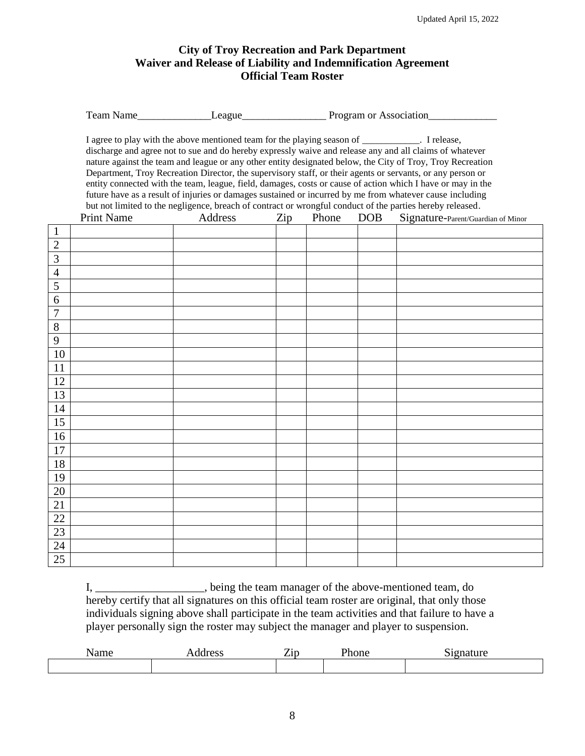### **City of Troy Recreation and Park Department Waiver and Release of Liability and Indemnification Agreement Official Team Roster**

| <b>Team Name</b> | ∟eague | Program or Association |
|------------------|--------|------------------------|
|                  |        |                        |

I agree to play with the above mentioned team for the playing season of \_\_\_\_\_\_\_\_\_\_\_\_. I release, discharge and agree not to sue and do hereby expressly waive and release any and all claims of whatever nature against the team and league or any other entity designated below, the City of Troy, Troy Recreation Department, Troy Recreation Director, the supervisory staff, or their agents or servants, or any person or entity connected with the team, league, field, damages, costs or cause of action which I have or may in the future have as a result of injuries or damages sustained or incurred by me from whatever cause including but not limited to the negligence, breach of contract or wrongful conduct of the parties hereby released.

|                | <b>Print Name</b> | Address | $\mathop{\mathrm {Zip}}$ | Phone | <b>DOB</b> | Signature-Parent/Guardian of Minor |
|----------------|-------------------|---------|--------------------------|-------|------------|------------------------------------|
| $\mathbf{1}$   |                   |         |                          |       |            |                                    |
| $\overline{2}$ |                   |         |                          |       |            |                                    |
| $\mathfrak{Z}$ |                   |         |                          |       |            |                                    |
| $\overline{4}$ |                   |         |                          |       |            |                                    |
| $\overline{5}$ |                   |         |                          |       |            |                                    |
| $\sqrt{6}$     |                   |         |                          |       |            |                                    |
| $\overline{7}$ |                   |         |                          |       |            |                                    |
| $\overline{8}$ |                   |         |                          |       |            |                                    |
| 9              |                   |         |                          |       |            |                                    |
| $10\,$         |                   |         |                          |       |            |                                    |
| $11\,$         |                   |         |                          |       |            |                                    |
| 12             |                   |         |                          |       |            |                                    |
| 13             |                   |         |                          |       |            |                                    |
| $14$           |                   |         |                          |       |            |                                    |
| 15             |                   |         |                          |       |            |                                    |
| $16\,$         |                   |         |                          |       |            |                                    |
| $17\,$         |                   |         |                          |       |            |                                    |
| $18\,$         |                   |         |                          |       |            |                                    |
| 19             |                   |         |                          |       |            |                                    |
| $20\,$         |                   |         |                          |       |            |                                    |
| $21\,$         |                   |         |                          |       |            |                                    |
| $22\,$         |                   |         |                          |       |            |                                    |
| $23\,$         |                   |         |                          |       |            |                                    |
| 24             |                   |         |                          |       |            |                                    |
| 25             |                   |         |                          |       |            |                                    |

I, \_\_\_\_\_\_\_\_\_\_\_\_\_\_\_\_\_\_\_, being the team manager of the above-mentioned team, do hereby certify that all signatures on this official team roster are original, that only those individuals signing above shall participate in the team activities and that failure to have a player personally sign the roster may subject the manager and player to suspension.

| --<br>-----<br>Nallit<br>----- | ⇁<br>$\angle$ ip | hone?<br>___ | $\sim$<br><b>CONTRACTOR</b><br>. |
|--------------------------------|------------------|--------------|----------------------------------|
|                                |                  |              |                                  |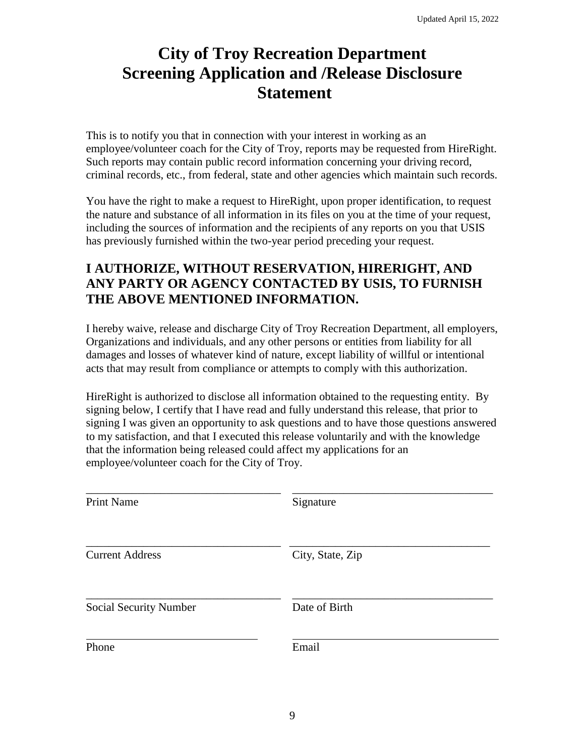# **City of Troy Recreation Department Screening Application and /Release Disclosure Statement**

This is to notify you that in connection with your interest in working as an employee/volunteer coach for the City of Troy, reports may be requested from HireRight. Such reports may contain public record information concerning your driving record, criminal records, etc., from federal, state and other agencies which maintain such records.

You have the right to make a request to HireRight, upon proper identification, to request the nature and substance of all information in its files on you at the time of your request, including the sources of information and the recipients of any reports on you that USIS has previously furnished within the two-year period preceding your request.

### **I AUTHORIZE, WITHOUT RESERVATION, HIRERIGHT, AND ANY PARTY OR AGENCY CONTACTED BY USIS, TO FURNISH THE ABOVE MENTIONED INFORMATION.**

I hereby waive, release and discharge City of Troy Recreation Department, all employers, Organizations and individuals, and any other persons or entities from liability for all damages and losses of whatever kind of nature, except liability of willful or intentional acts that may result from compliance or attempts to comply with this authorization.

HireRight is authorized to disclose all information obtained to the requesting entity. By signing below, I certify that I have read and fully understand this release, that prior to signing I was given an opportunity to ask questions and to have those questions answered to my satisfaction, and that I executed this release voluntarily and with the knowledge that the information being released could affect my applications for an employee/volunteer coach for the City of Troy.

| <b>Print Name</b>      | Signature        |
|------------------------|------------------|
| <b>Current Address</b> | City, State, Zip |
| Social Security Number | Date of Birth    |
| Phone                  | Email            |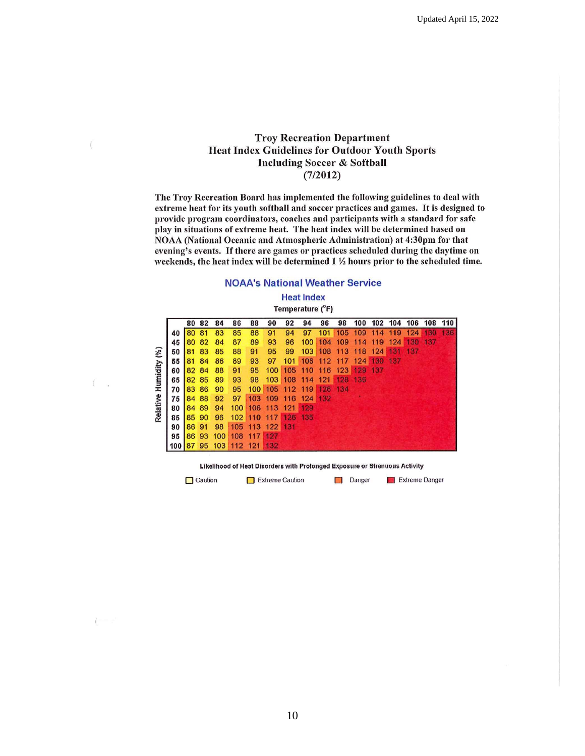#### **Troy Recreation Department Heat Index Guidelines for Outdoor Youth Sports Including Soccer & Softball**  $(7/2012)$

 $\ell$ 

 $\sim$ 

 $i = -1$ 

The Troy Recreation Board has implemented the following guidelines to deal with extreme heat for its youth softball and soccer practices and games. It is designed to provide program coordinators, coaches and participants with a standard for safe play in situations of extreme heat. The heat index will be determined based on NOAA (National Oceanic and Atmospheric Administration) at 4:30pm for that evening's events. If there are games or practices scheduled during the daytime on weekends, the heat index will be determined 1 1/2 hours prior to the scheduled time.

#### **NOAA's National Weather Service**

**Heat Index** 

| Temperature (°F) |  |  |
|------------------|--|--|
|------------------|--|--|

|                       |     | 80 | 82    | 84  | 86  | 88               | 90  | 92      | 94  | 96  | 98  | 100 | 102 | 104 | 106 | 108 | 110 |
|-----------------------|-----|----|-------|-----|-----|------------------|-----|---------|-----|-----|-----|-----|-----|-----|-----|-----|-----|
|                       | 40  | 80 | 81    | 83  | 85  | 88               | 91  | 94      | 97  | 101 | 105 | 109 | 114 | 119 | 124 | 130 | 136 |
|                       | 45  | 80 | 82    | 84  | 87  | 89               | 93  | 96      | 100 | 104 | 109 | 114 | 119 | 124 | 130 | 137 |     |
| Relative Humidity (%) | 50  | 81 | 83    | 85  | 88  | 91               | 95  | 99      | 103 | 108 | 113 | 118 | 124 | 131 | 137 |     |     |
|                       | 55  | 81 | 84    | 86  | 89  | 93               | 97  | 101     | 106 | 112 | 117 | 124 | 130 | 137 |     |     |     |
|                       | 60  | 82 | 84    | 88  | 91  | 95               | 100 | 105     | 110 | 116 | 123 | 129 | 137 |     |     |     |     |
|                       | 65  |    | 82 85 | 89  | 93  | 98               |     | 103 108 | 114 | 121 | 128 | 136 |     |     |     |     |     |
|                       | 70  | 83 | 86    | 90  | 95  | 100 <sub>1</sub> | 105 | 112     | 119 | 126 | 134 |     |     |     |     |     |     |
|                       | 75  | 84 | 88    | 92  | 97  | 103              | 109 | 116     | 124 | 132 |     |     |     |     |     |     |     |
|                       | 80  | 84 | 89    | 94  | 100 | 106              | 113 | 121     | 129 |     |     |     |     |     |     |     |     |
|                       | 85  | 85 | 90    | 96  | 102 | 110              | 117 | 126     | 135 |     |     |     |     |     |     |     |     |
|                       | 90  | 86 | 91    | 98  | 105 | 113              | 122 | 131     |     |     |     |     |     |     |     |     |     |
|                       | 95  | 86 | 93    | 100 | 108 | 117              | 127 |         |     |     |     |     |     |     |     |     |     |
|                       | 100 | 87 | 95    | 103 | 112 | 121              | 132 |         |     |     |     |     |     |     |     |     |     |

Likelihood of Heat Disorders with Prolonged Exposure or Strenuous Activity

 $\Box$  Caution Extreme Caution Danger Extreme Danger

10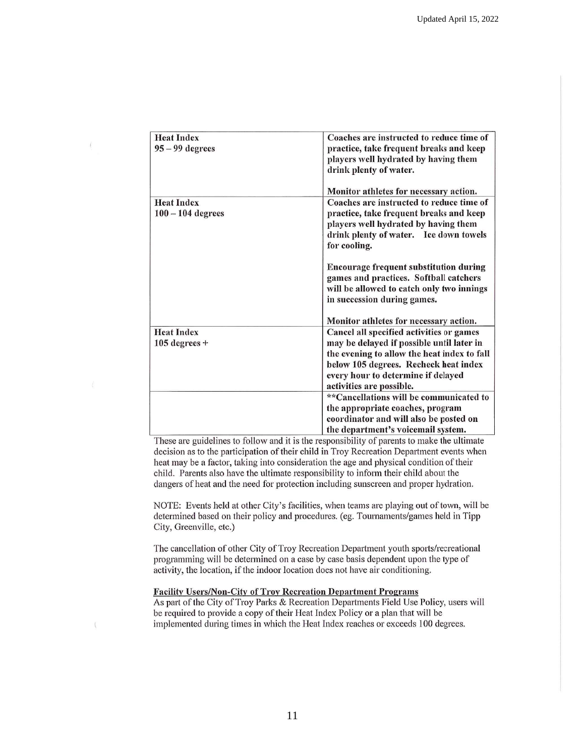| <b>Heat Index</b><br>$95 - 99$ degrees   | Coaches are instructed to reduce time of<br>practice, take frequent breaks and keep<br>players well hydrated by having them<br>drink plenty of water.                                                                                           |
|------------------------------------------|-------------------------------------------------------------------------------------------------------------------------------------------------------------------------------------------------------------------------------------------------|
|                                          | Monitor athletes for necessary action.                                                                                                                                                                                                          |
| <b>Heat Index</b><br>$100 - 104$ degrees | Coaches are instructed to reduce time of<br>practice, take frequent breaks and keep<br>players well hydrated by having them<br>drink plenty of water. Ice down towels<br>for cooling.                                                           |
|                                          | <b>Encourage frequent substitution during</b><br>games and practices. Softball catchers<br>will be allowed to catch only two innings<br>in succession during games.                                                                             |
|                                          | Monitor athletes for necessary action.                                                                                                                                                                                                          |
| <b>Heat Index</b><br>$105$ degrees +     | Cancel all specified activities or games<br>may be delayed if possible until later in<br>the evening to allow the heat index to fall<br>below 105 degrees. Recheck heat index<br>every hour to determine if delayed<br>activities are possible. |
|                                          | **Cancellations will be communicated to<br>the appropriate coaches, program<br>coordinator and will also be posted on<br>the department's voicemail system.                                                                                     |

These are guidelines to follow and it is the responsibility of parents to make the ultimate decision as to the participation of their child in Troy Recreation Department events when heat may be a factor, taking into consideration the age and physical condition of their child. Parents also have the ultimate responsibility to inform their child about the dangers of heat and the need for protection including sunscreen and proper hydration.

NOTE: Events held at other City's facilities, when teams are playing out of town, will be determined based on their policy and procedures. (eg. Tournaments/games held in Tipp City, Greenville, etc.)

The cancellation of other City of Troy Recreation Department youth sports/recreational programming will be determined on a case by case basis dependent upon the type of activity, the location, if the indoor location does not have air conditioning.

#### **Facility Users/Non-City of Troy Recreation Department Programs**

As part of the City of Troy Parks & Recreation Departments Field Use Policy, users will be required to provide a copy of their Heat Index Policy or a plan that will be implemented during times in which the Heat Index reaches or exceeds 100 degrees.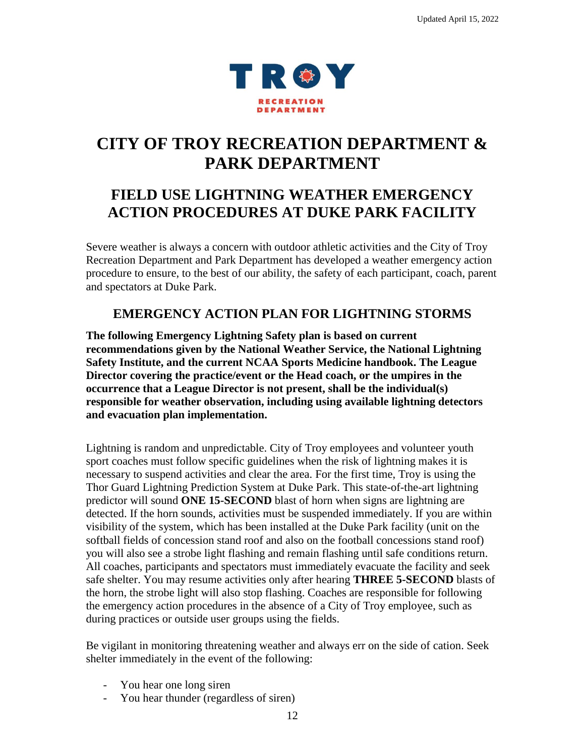

# **CITY OF TROY RECREATION DEPARTMENT & PARK DEPARTMENT**

# **FIELD USE LIGHTNING WEATHER EMERGENCY ACTION PROCEDURES AT DUKE PARK FACILITY**

Severe weather is always a concern with outdoor athletic activities and the City of Troy Recreation Department and Park Department has developed a weather emergency action procedure to ensure, to the best of our ability, the safety of each participant, coach, parent and spectators at Duke Park.

### **EMERGENCY ACTION PLAN FOR LIGHTNING STORMS**

**The following Emergency Lightning Safety plan is based on current recommendations given by the National Weather Service, the National Lightning Safety Institute, and the current NCAA Sports Medicine handbook. The League Director covering the practice/event or the Head coach, or the umpires in the occurrence that a League Director is not present, shall be the individual(s) responsible for weather observation, including using available lightning detectors and evacuation plan implementation.**

Lightning is random and unpredictable. City of Troy employees and volunteer youth sport coaches must follow specific guidelines when the risk of lightning makes it is necessary to suspend activities and clear the area. For the first time, Troy is using the Thor Guard Lightning Prediction System at Duke Park. This state-of-the-art lightning predictor will sound **ONE 15-SECOND** blast of horn when signs are lightning are detected. If the horn sounds, activities must be suspended immediately. If you are within visibility of the system, which has been installed at the Duke Park facility (unit on the softball fields of concession stand roof and also on the football concessions stand roof) you will also see a strobe light flashing and remain flashing until safe conditions return. All coaches, participants and spectators must immediately evacuate the facility and seek safe shelter. You may resume activities only after hearing **THREE 5-SECOND** blasts of the horn, the strobe light will also stop flashing. Coaches are responsible for following the emergency action procedures in the absence of a City of Troy employee, such as during practices or outside user groups using the fields.

Be vigilant in monitoring threatening weather and always err on the side of cation. Seek shelter immediately in the event of the following:

- You hear one long siren
- You hear thunder (regardless of siren)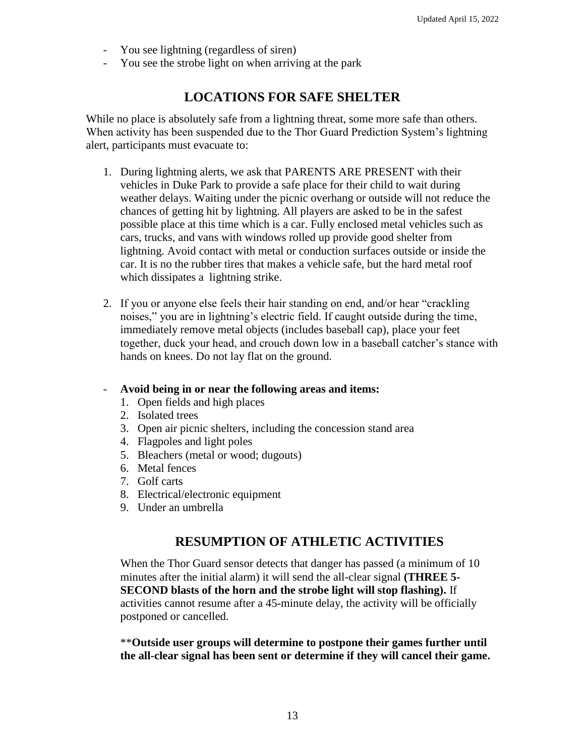- You see lightning (regardless of siren)
- You see the strobe light on when arriving at the park

### **LOCATIONS FOR SAFE SHELTER**

While no place is absolutely safe from a lightning threat, some more safe than others. When activity has been suspended due to the Thor Guard Prediction System's lightning alert, participants must evacuate to:

- 1. During lightning alerts, we ask that PARENTS ARE PRESENT with their vehicles in Duke Park to provide a safe place for their child to wait during weather delays. Waiting under the picnic overhang or outside will not reduce the chances of getting hit by lightning. All players are asked to be in the safest possible place at this time which is a car. Fully enclosed metal vehicles such as cars, trucks, and vans with windows rolled up provide good shelter from lightning. Avoid contact with metal or conduction surfaces outside or inside the car. It is no the rubber tires that makes a vehicle safe, but the hard metal roof which dissipates a lightning strike.
- 2. If you or anyone else feels their hair standing on end, and/or hear "crackling noises," you are in lightning's electric field. If caught outside during the time, immediately remove metal objects (includes baseball cap), place your feet together, duck your head, and crouch down low in a baseball catcher's stance with hands on knees. Do not lay flat on the ground.

#### - **Avoid being in or near the following areas and items:**

- 1. Open fields and high places
- 2. Isolated trees
- 3. Open air picnic shelters, including the concession stand area
- 4. Flagpoles and light poles
- 5. Bleachers (metal or wood; dugouts)
- 6. Metal fences
- 7. Golf carts
- 8. Electrical/electronic equipment
- 9. Under an umbrella

### **RESUMPTION OF ATHLETIC ACTIVITIES**

When the Thor Guard sensor detects that danger has passed (a minimum of 10 minutes after the initial alarm) it will send the all-clear signal **(THREE 5- SECOND blasts of the horn and the strobe light will stop flashing).** If activities cannot resume after a 45-minute delay, the activity will be officially postponed or cancelled.

\*\***Outside user groups will determine to postpone their games further until the all-clear signal has been sent or determine if they will cancel their game.**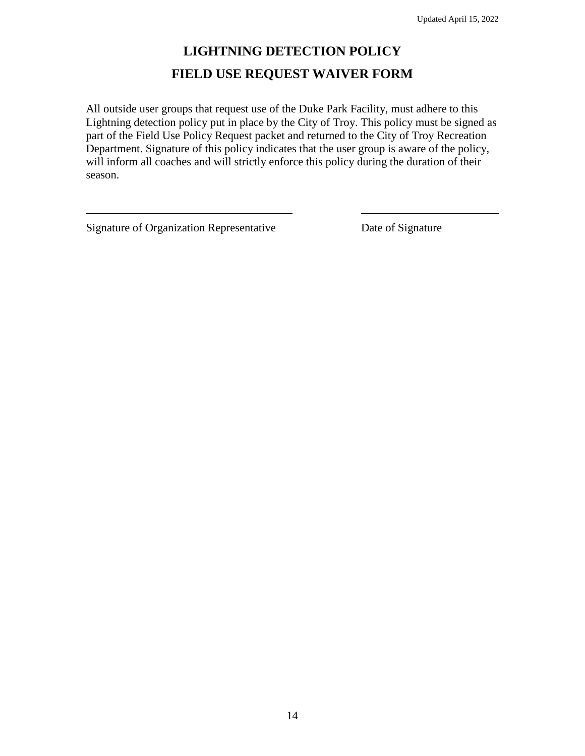# **LIGHTNING DETECTION POLICY FIELD USE REQUEST WAIVER FORM**

All outside user groups that request use of the Duke Park Facility, must adhere to this Lightning detection policy put in place by the City of Troy. This policy must be signed as part of the Field Use Policy Request packet and returned to the City of Troy Recreation Department. Signature of this policy indicates that the user group is aware of the policy, will inform all coaches and will strictly enforce this policy during the duration of their season.

Signature of Organization Representative Date of Signature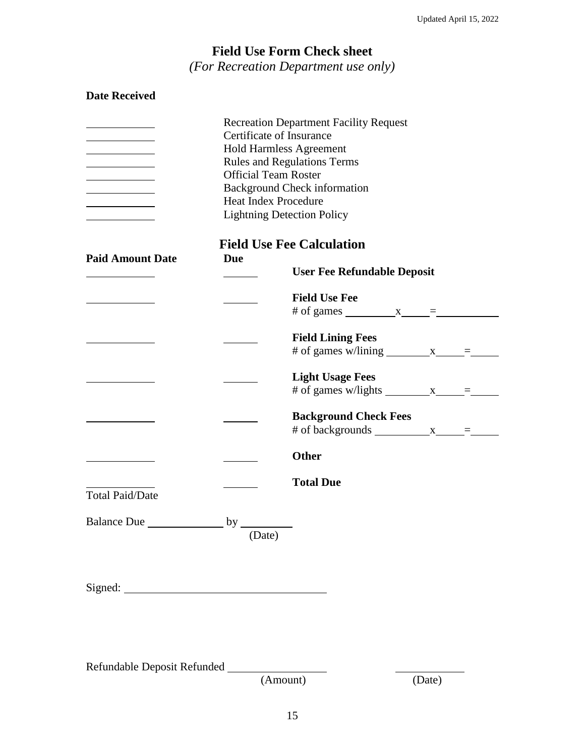## **Field Use Form Check sheet** *(For Recreation Department use only)*

| <b>Date Received</b>        |                                                                                                                                                                                                                                                                                             |                                                                        |  |  |  |  |  |
|-----------------------------|---------------------------------------------------------------------------------------------------------------------------------------------------------------------------------------------------------------------------------------------------------------------------------------------|------------------------------------------------------------------------|--|--|--|--|--|
|                             | <b>Recreation Department Facility Request</b><br>Certificate of Insurance<br><b>Hold Harmless Agreement</b><br><b>Rules and Regulations Terms</b><br><b>Official Team Roster</b><br><b>Background Check information</b><br><b>Heat Index Procedure</b><br><b>Lightning Detection Policy</b> |                                                                        |  |  |  |  |  |
| <b>Paid Amount Date</b>     | <b>Due</b>                                                                                                                                                                                                                                                                                  | <b>Field Use Fee Calculation</b><br><b>User Fee Refundable Deposit</b> |  |  |  |  |  |
|                             |                                                                                                                                                                                                                                                                                             | <b>Field Use Fee</b><br># of games $x =$                               |  |  |  |  |  |
|                             |                                                                                                                                                                                                                                                                                             | <b>Field Lining Fees</b><br># of games w/lining $x = z$                |  |  |  |  |  |
|                             |                                                                                                                                                                                                                                                                                             | <b>Light Usage Fees</b><br># of games w/lights $x = z$                 |  |  |  |  |  |
|                             |                                                                                                                                                                                                                                                                                             | <b>Background Check Fees</b><br># of backgrounds $x = 2$               |  |  |  |  |  |
|                             |                                                                                                                                                                                                                                                                                             | <b>Other</b>                                                           |  |  |  |  |  |
| <b>Total Paid/Date</b>      |                                                                                                                                                                                                                                                                                             | <b>Total Due</b>                                                       |  |  |  |  |  |
|                             |                                                                                                                                                                                                                                                                                             |                                                                        |  |  |  |  |  |
|                             |                                                                                                                                                                                                                                                                                             |                                                                        |  |  |  |  |  |
| Refundable Deposit Refunded |                                                                                                                                                                                                                                                                                             |                                                                        |  |  |  |  |  |